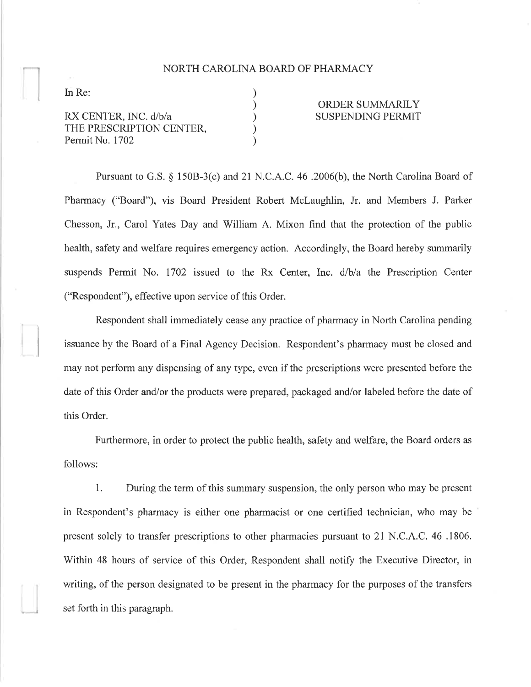## NORTH CAROLINA BOARD OF PHARMACY

) ) ) ) )

In Re:

RX CENTER, INC. d/b/A THE PRESCRIPTION CENTER, Permit No. 1702

## ORDER SUMMARILY SUSPENDING PERMIT

Pursuant to G.S. \$ 1508-3(c) and 2l N.C.A.C. 46 .2006(b), the North Carolina Board of Pharmacy ("Board"), vis Board President Robert Mclaughlin, Jr. and Members J. Parker Chesson, Jr., Carol Yates Day and William A. Mixon find that the protection of the public health, safety and welfare requires emergency action. Accordingly, the Board hereby summarily suspends Permit No. 1702 issued to the Rx Center, Inc. d/b/a the Prescription Center ("Respondent"), effective upon service of this Order.

Respondent shall immediately cease any practice of pharmacy in North Carolina pending issuance by the Board of a Final Agency Decision. Respondent's pharmacy must be closed and may not perform any dispensing of any type, even if the prescriptions were presented before the date of this Order and/or the products were prepared, packaged and/or labeled before the date of this Order.

Furthermore, in order to protect the public health, safety and welfare, the Board orders as follows:

1. During the term of this summary suspension, the only person who may be present in Respondent's pharmacy is either one pharmacist or one certified technician, who may be present solely to transfer prescriptions to other pharmacies pursuant to 21 N.C.A.C.46.1806. Within 48 hours of service of this Order, Respondent shall notify the Executive Director, in writing, of the person designated to be present in the pharmacy for the purposes of the transfers set forth in this paragraph.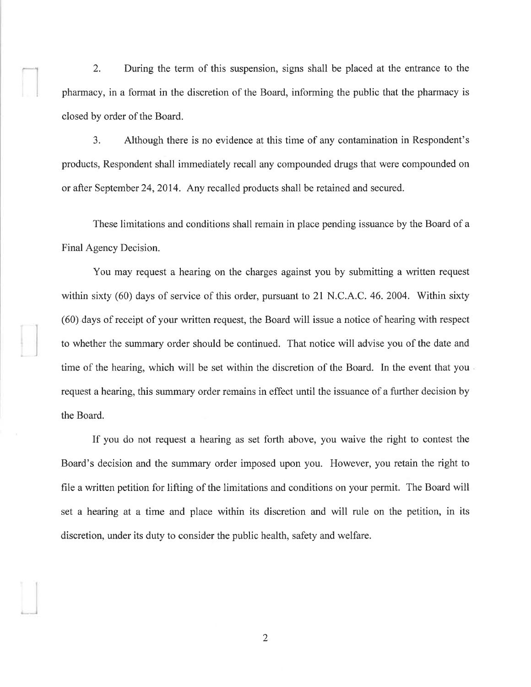2. During the term of this suspension, signs shall be placed at the entrance to the pharmacy, in a format in the discretion of the Board, informing the public that the pharmacy is closed by order of the Board.

3. Although there is no evidence at this time of any contamination in Respondent's products, Respondent shall immediately recall any compounded drugs that were compounded on or after Septernber 24,2014. Any recalled products shall be retained and secured.

These limitations and conditions shall remain in place pending issuance by the Board of a Final Agency Decision.

You may request a hearing on the charges against you by submitting a written request within sixty (60) days of service of this order, pursuant to 21 N.C.A.C.46.2004. Within sixty (60) days of receipt of your written request, the Board will issue a notice of hearing with respect to whether the summary order should be continued. That notice will advise you of the date and time of the hearing, which will be set within the discretion of the Board. In the event that you request a hearing, this summary order remains in effect until the issuance of a further decision by the Board.

If you do not request a hearing as set forth above, you waive the right to contest the Board's decision and the summary order imposed upon you. However, you retain the right to file a written petition for lifting of the limitations and conditions on your permit. The Board will set a hearing at a time and place within its discretion and will rule on the petition, in its discretion, under its duty to consider the public health, safety and welfare.

2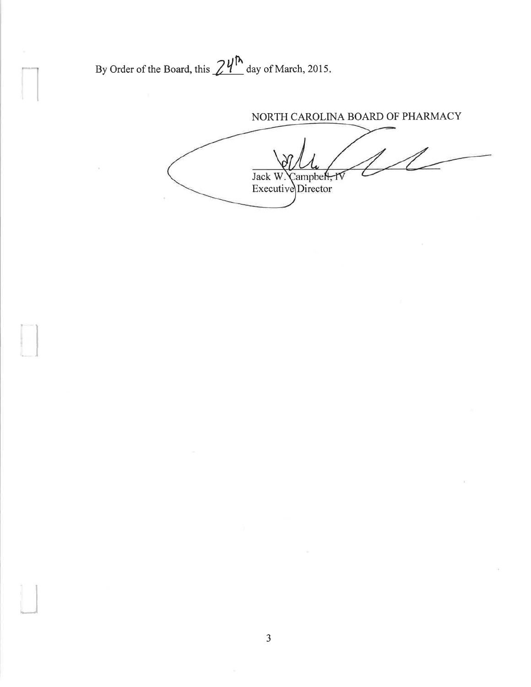By Order of the Board, this  $24^{\text{A}}$  day of March, 2015.

NORTH CAROLINA BOARD OF PHARMACY

Jack W. Campbell, IV<br>Executive Director